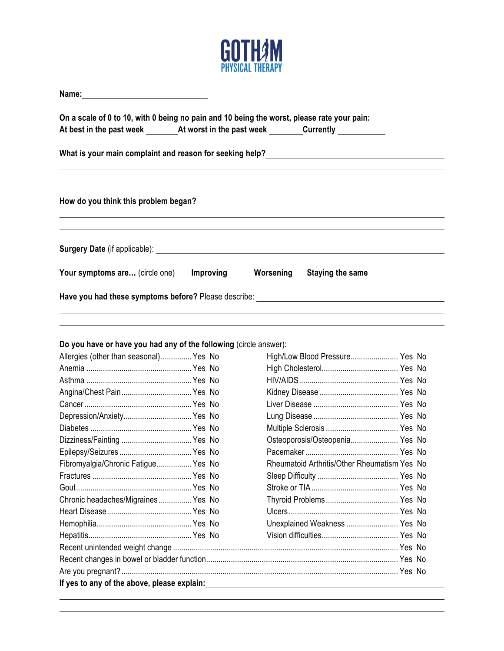

| On a scale of 0 to 10, with 0 being no pain and 10 being the worst, please rate your pain: |           |                                                                                                                                                                                                                                          |  |  |  |
|--------------------------------------------------------------------------------------------|-----------|------------------------------------------------------------------------------------------------------------------------------------------------------------------------------------------------------------------------------------------|--|--|--|
|                                                                                            |           |                                                                                                                                                                                                                                          |  |  |  |
|                                                                                            |           | <b>Surgery Date</b> (if applicable): <b>Surgery Date</b> (if applicable) and the control of the control of the control of the control of the control of the control of the control of the control of the control of the control of the c |  |  |  |
| Your symptoms are (circle one)                                                             | Improving | Worsening<br><b>Staying the same</b>                                                                                                                                                                                                     |  |  |  |
|                                                                                            |           | Have you had these symptoms before? Please describe: Network of the state of the state of the state of the state of the state of the state of the state of the state of the state of the state of the state of the state of th           |  |  |  |
| Do you have or have you had any of the following (circle answer):                          |           |                                                                                                                                                                                                                                          |  |  |  |
| Allergies (other than seasonal) Yes No                                                     |           | High/Low Blood Pressure Yes No                                                                                                                                                                                                           |  |  |  |
|                                                                                            |           |                                                                                                                                                                                                                                          |  |  |  |
|                                                                                            |           |                                                                                                                                                                                                                                          |  |  |  |
|                                                                                            |           |                                                                                                                                                                                                                                          |  |  |  |
|                                                                                            |           |                                                                                                                                                                                                                                          |  |  |  |
| Depression/Anxiety Yes No                                                                  |           |                                                                                                                                                                                                                                          |  |  |  |
|                                                                                            |           |                                                                                                                                                                                                                                          |  |  |  |
| Dizziness/Fainting  Yes No                                                                 |           | Osteoporosis/Osteopenia Yes No                                                                                                                                                                                                           |  |  |  |
|                                                                                            |           |                                                                                                                                                                                                                                          |  |  |  |
| Fibromyalgia/Chronic Fatigue Yes No                                                        |           | Rheumatoid Arthritis/Other Rheumatism Yes No                                                                                                                                                                                             |  |  |  |
|                                                                                            |           |                                                                                                                                                                                                                                          |  |  |  |
|                                                                                            |           |                                                                                                                                                                                                                                          |  |  |  |
| Chronic headaches/Migraines Yes No                                                         |           |                                                                                                                                                                                                                                          |  |  |  |
|                                                                                            |           |                                                                                                                                                                                                                                          |  |  |  |
|                                                                                            |           | Unexplained Weakness  Yes No                                                                                                                                                                                                             |  |  |  |
|                                                                                            |           |                                                                                                                                                                                                                                          |  |  |  |
|                                                                                            |           |                                                                                                                                                                                                                                          |  |  |  |
|                                                                                            |           |                                                                                                                                                                                                                                          |  |  |  |
|                                                                                            |           |                                                                                                                                                                                                                                          |  |  |  |
| If yes to any of the above, please explain:                                                |           |                                                                                                                                                                                                                                          |  |  |  |